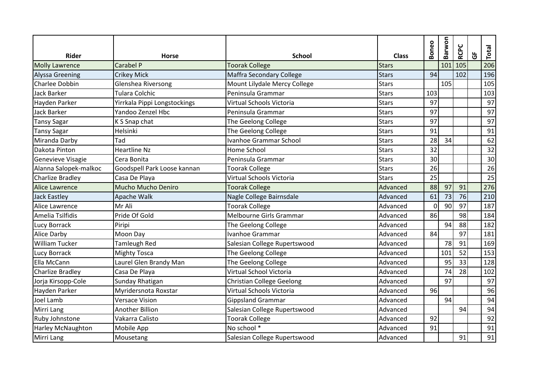|                         |                              |                                  |              | Boneo    | Barwon | <b>RCPC</b> |   | Total |
|-------------------------|------------------------------|----------------------------------|--------------|----------|--------|-------------|---|-------|
| <b>Rider</b>            | <b>Horse</b>                 | <b>School</b>                    | <b>Class</b> |          |        |             | ច |       |
| <b>Molly Lawrence</b>   | Carabel P                    | <b>Toorak College</b>            | <b>Stars</b> |          | 101    | 105         |   | 206   |
| <b>Alyssa Greening</b>  | <b>Crikey Mick</b>           | Maffra Secondary College         | <b>Stars</b> | 94       |        | 102         |   | 196   |
| Charlee Dobbin          | <b>Glenshea Riversong</b>    | Mount Lilydale Mercy College     | <b>Stars</b> |          | 105    |             |   | 105   |
| Jack Barker             | <b>Tulara Colchic</b>        | Peninsula Grammar                | <b>Stars</b> | 103      |        |             |   | 103   |
| Hayden Parker           | Yirrkala Pippi Longstockings | Virtual Schools Victoria         | <b>Stars</b> | 97       |        |             |   | 97    |
| <b>Jack Barker</b>      | Yandoo Zenzel Hbc            | Peninsula Grammar                | <b>Stars</b> | 97       |        |             |   | 97    |
| <b>Tansy Sagar</b>      | K S Snap chat                | The Geelong College              | <b>Stars</b> | 97       |        |             |   | 97    |
| <b>Tansy Sagar</b>      | Helsinki                     | The Geelong College              | <b>Stars</b> | 91       |        |             |   | 91    |
| Miranda Darby           | Tad                          | Ivanhoe Grammar School           | <b>Stars</b> | 28       | 34     |             |   | 62    |
| Dakota Pinton           | <b>Heartline Nz</b>          | Home School                      | <b>Stars</b> | 32       |        |             |   | 32    |
| Genevieve Visagie       | Cera Bonita                  | Peninsula Grammar                | <b>Stars</b> | 30       |        |             |   | 30    |
| Alanna Salopek-malkoc   | Goodspell Park Loose kannan  | <b>Toorak College</b>            | <b>Stars</b> | 26       |        |             |   | 26    |
| <b>Charlize Bradley</b> | Casa De Playa                | Virtual Schools Victoria         | <b>Stars</b> | 25       |        |             |   | 25    |
| Alice Lawrence          | Mucho Mucho Deniro           | <b>Toorak College</b>            | Advanced     | 88       | 97     | 91          |   | 276   |
| <b>Jack Eastley</b>     | Apache Walk                  | Nagle College Bairnsdale         | Advanced     | 61       | 73     | 76          |   | 210   |
| Alice Lawrence          | Mr Ali                       | <b>Toorak College</b>            | Advanced     | $\Omega$ | 90     | 97          |   | 187   |
| Amelia Tsilfidis        | Pride Of Gold                | Melbourne Girls Grammar          | Advanced     | 86       |        | 98          |   | 184   |
| Lucy Borrack            | Piripi                       | The Geelong College              | Advanced     |          | 94     | 88          |   | 182   |
| <b>Alice Darby</b>      | Moon Day                     | Ivanhoe Grammar                  | Advanced     | 84       |        | 97          |   | 181   |
| <b>William Tucker</b>   | <b>Tamleugh Red</b>          | Salesian College Rupertswood     | Advanced     |          | 78     | 91          |   | 169   |
| Lucy Borrack            | <b>Mighty Tosca</b>          | The Geelong College              | Advanced     |          | 101    | 52          |   | 153   |
| Ella McCann             | Laurel Glen Brandy Man       | The Geelong College              | Advanced     |          | 95     | 33          |   | 128   |
| <b>Charlize Bradley</b> | Casa De Playa                | Virtual School Victoria          | Advanced     |          | 74     | 28          |   | 102   |
| Jorja Kirsopp-Cole      | Sunday Rhatigan              | <b>Christian College Geelong</b> | Advanced     |          | 97     |             |   | 97    |
| Hayden Parker           | Myridersnota Roxstar         | Virtual Schools Victoria         | Advanced     | 96       |        |             |   | 96    |
| Joel Lamb               | <b>Versace Vision</b>        | <b>Gippsland Grammar</b>         | Advanced     |          | 94     |             |   | 94    |
| Mirri Lang              | <b>Another Billion</b>       | Salesian College Rupertswood     | Advanced     |          |        | 94          |   | 94    |
| Ruby Johnstone          | Vakarra Calisto              | <b>Toorak College</b>            | Advanced     | 92       |        |             |   | 92    |
| Harley McNaughton       | Mobile App                   | No school *                      | Advanced     | 91       |        |             |   | 91    |
| Mirri Lang              | Mousetang                    | Salesian College Rupertswood     | Advanced     |          |        | 91          |   | 91    |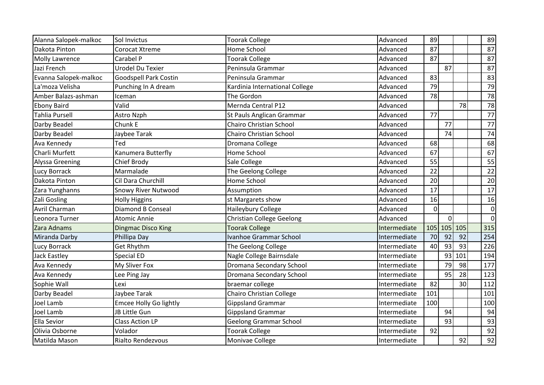| Alanna Salopek-malkoc  | Sol Invictus                  | <b>Toorak College</b>           | Advanced     | 89       |    |             | 89          |
|------------------------|-------------------------------|---------------------------------|--------------|----------|----|-------------|-------------|
| Dakota Pinton          | Corocat Xtreme                | Home School                     | Advanced     | 87       |    |             | 87          |
| <b>Molly Lawrence</b>  | Carabel P                     | <b>Toorak College</b>           | Advanced     | 87       |    |             | 87          |
| Jazi French            | Urodel Du Texier              | Peninsula Grammar               | Advanced     |          | 87 |             | 87          |
| Evanna Salopek-malkoc  | <b>Goodspell Park Costin</b>  | Peninsula Grammar               | Advanced     | 83       |    |             | 83          |
| La'moza Velisha        | Punching In A dream           | Kardinia International College  | Advanced     | 79       |    |             | 79          |
| Amber Balazs-ashman    | Iceman                        | The Gordon                      | Advanced     | 78       |    |             | 78          |
| <b>Ebony Baird</b>     | Valid                         | Mernda Central P12              | Advanced     |          |    | 78          | 78          |
| <b>Tahlia Pursell</b>  | Astro Nzph                    | St Pauls Anglican Grammar       | Advanced     | 77       |    |             | 77          |
| Darby Beadel           | Chunk E                       | Chairo Christian School         | Advanced     |          | 77 |             | 77          |
| Darby Beadel           | Jaybee Tarak                  | <b>Chairo Christian School</b>  | Advanced     |          | 74 |             | 74          |
| Ava Kennedy            | Ted                           | Dromana College                 | Advanced     | 68       |    |             | 68          |
| Charli Murfett         | Kanumera Butterfly            | Home School                     | Advanced     | 67       |    |             | 67          |
| <b>Alyssa Greening</b> | Chief Brody                   | Sale College                    | Advanced     | 55       |    |             | 55          |
| Lucy Borrack           | Marmalade                     | The Geelong College             | Advanced     | 22       |    |             | 22          |
| Dakota Pinton          | Cil Dara Churchill            | Home School                     | Advanced     | 20       |    |             | 20          |
| Zara Yunghanns         | <b>Snowy River Nutwood</b>    | Assumption                      | Advanced     | 17       |    |             | 17          |
| Zali Gosling           | <b>Holly Higgins</b>          | st Margarets show               | Advanced     | 16       |    |             | 16          |
| Avril Charman          | <b>Diamond B Conseal</b>      | Haileybury College              | Advanced     | $\Omega$ |    |             | 0           |
| Leonora Turner         | <b>Atomic Annie</b>           | Christian College Geelong       | Advanced     |          | οI |             | $\mathbf 0$ |
| Zara Adnams            | <b>Dingmac Disco King</b>     | <b>Toorak College</b>           | Intermediate |          |    | 105 105 105 | 315         |
| Miranda Darby          | Phillipa Day                  | Ivanhoe Grammar School          | Intermediate | 70       | 92 | 92          | 254         |
| Lucy Borrack           | <b>Get Rhythm</b>             | The Geelong College             | Intermediate | 40       | 93 | 93          | 226         |
| <b>Jack Eastley</b>    | Special ED                    | Nagle College Bairnsdale        | Intermediate |          | 93 | 101         | 194         |
| Ava Kennedy            | My Sliver Fox                 | Dromana Secondary School        | Intermediate |          | 79 | 98          | 177         |
| Ava Kennedy            | Lee Ping Jay                  | Dromana Secondary School        | Intermediate |          | 95 | 28          | 123         |
| Sophie Wall            | Lexi                          | braemar college                 | Intermediate | 82       |    | 30          | 112         |
| Darby Beadel           | Jaybee Tarak                  | <b>Chairo Christian College</b> | Intermediate | 101      |    |             | 101         |
| Joel Lamb              | <b>Emcee Holly Go lightly</b> | <b>Gippsland Grammar</b>        | Intermediate | 100      |    |             | 100         |
| Joel Lamb              | JB Little Gun                 | <b>Gippsland Grammar</b>        | Intermediate |          | 94 |             | 94          |
| Ella Sevior            | <b>Class Action LP</b>        | <b>Geelong Grammar School</b>   | Intermediate |          | 93 |             | 93          |
| Olivia Osborne         | Volador                       | <b>Toorak College</b>           | Intermediate | 92       |    |             | 92          |
| Matilda Mason          | <b>Rialto Rendezvous</b>      | Monivae College                 | Intermediate |          |    | 92          | 92          |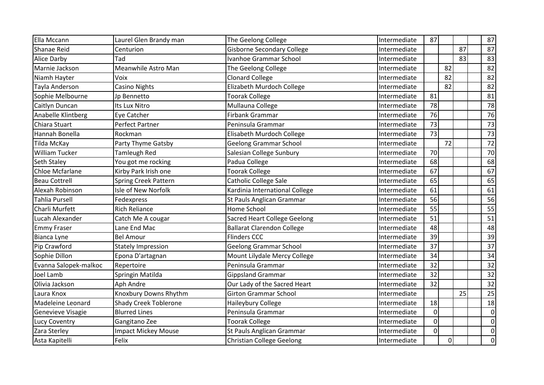| Ella Mccann           | Laurel Glen Brandy man       | The Geelong College                 | Intermediate | 87       |                |    | 87             |
|-----------------------|------------------------------|-------------------------------------|--------------|----------|----------------|----|----------------|
| Shanae Reid           | Centurion                    | <b>Gisborne Secondary College</b>   | Intermediate |          |                | 87 | 87             |
| <b>Alice Darby</b>    | Tad                          | Ivanhoe Grammar School              | Intermediate |          |                | 83 | 83             |
| Marnie Jackson        | Meanwhile Astro Man          | The Geelong College                 | Intermediate |          | 82             |    | 82             |
| Niamh Hayter          | Voix                         | <b>Clonard College</b>              | Intermediate |          | 82             |    | 82             |
| Tayla Anderson        | Casino Nights                | Elizabeth Murdoch College           | Intermediate |          | 82             |    | 82             |
| Sophie Melbourne      | Jp Bennetto                  | <b>Toorak College</b>               | Intermediate | 81       |                |    | 81             |
| Caitlyn Duncan        | Its Lux Nitro                | Mullauna College                    | Intermediate | 78       |                |    | 78             |
| Anabelle Klintberg    | Eye Catcher                  | <b>Firbank Grammar</b>              | Intermediate | 76       |                |    | 76             |
| Chiara Stuart         | Perfect Partner              | Peninsula Grammar                   | Intermediate | 73       |                |    | 73             |
| Hannah Bonella        | Rockman                      | Elisabeth Murdoch College           | Intermediate | 73       |                |    | 73             |
| Tilda McKay           | Party Thyme Gatsby           | <b>Geelong Grammar School</b>       | Intermediate |          | 72             |    | 72             |
| <b>William Tucker</b> | Tamleugh Red                 | Salesian College Sunbury            | Intermediate | 70       |                |    | 70             |
| Seth Staley           | You got me rocking           | Padua College                       | Intermediate | 68       |                |    | 68             |
| Chloe Mcfarlane       | Kirby Park Irish one         | <b>Toorak College</b>               | Intermediate | 67       |                |    | 67             |
| <b>Beau Cottrell</b>  | <b>Spring Creek Pattern</b>  | Catholic College Sale               | Intermediate | 65       |                |    | 65             |
| Alexah Robinson       | Isle of New Norfolk          | Kardinia International College      | Intermediate | 61       |                |    | 61             |
| <b>Tahlia Pursell</b> | Fedexpress                   | St Pauls Anglican Grammar           | Intermediate | 56       |                |    | 56             |
| Charli Murfett        | <b>Rich Reliance</b>         | Home School                         | Intermediate | 55       |                |    | 55             |
| Lucah Alexander       | Catch Me A cougar            | <b>Sacred Heart College Geelong</b> | Intermediate | 51       |                |    | 51             |
| <b>Emmy Fraser</b>    | Lane End Mac                 | <b>Ballarat Clarendon College</b>   | Intermediate | 48       |                |    | 48             |
| Bianca Lyne           | <b>Bel Amour</b>             | <b>Flinders CCC</b>                 | Intermediate | 39       |                |    | 39             |
| Pip Crawford          | <b>Stately Impression</b>    | <b>Geelong Grammar School</b>       | Intermediate | 37       |                |    | 37             |
| Sophie Dillon         | Epona D'artagnan             | Mount Lilydale Mercy College        | Intermediate | 34       |                |    | 34             |
| Evanna Salopek-malkoc | Repertoire                   | Peninsula Grammar                   | Intermediate | 32       |                |    | 32             |
| Joel Lamb             | Springin Matilda             | <b>Gippsland Grammar</b>            | Intermediate | 32       |                |    | 32             |
| Olivia Jackson        | Aph Andre                    | Our Lady of the Sacred Heart        | Intermediate | 32       |                |    | 32             |
| Laura Knox            | Knoxbury Downs Rhythm        | <b>Girton Grammar School</b>        | Intermediate |          |                | 25 | 25             |
| Madeleine Leonard     | <b>Shady Creek Toblerone</b> | Haileybury College                  | Intermediate | 18       |                |    | 18             |
| Genevieve Visagie     | <b>Blurred Lines</b>         | Peninsula Grammar                   | Intermediate | $\Omega$ |                |    | $\overline{0}$ |
| Lucy Coventry         | Gangitano Zee                | <b>Toorak College</b>               | Intermediate | 0        |                |    | $\overline{0}$ |
| Zara Sterley          | <b>Impact Mickey Mouse</b>   | St Pauls Anglican Grammar           | Intermediate | $\Omega$ |                |    | $\overline{0}$ |
| Asta Kapitelli        | Felix                        | <b>Christian College Geelong</b>    | Intermediate |          | $\overline{0}$ |    | $\overline{0}$ |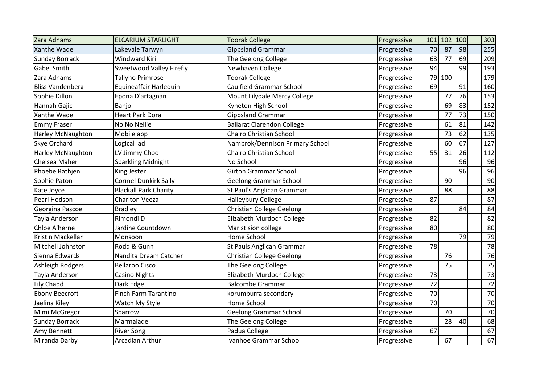| Zara Adnams              | <b>ELCARIUM STARLIGHT</b>    | <b>Toorak College</b>             | Progressive | 101 |        | $102$ 100 | 303             |
|--------------------------|------------------------------|-----------------------------------|-------------|-----|--------|-----------|-----------------|
| Xanthe Wade              | Lakevale Tarwyn              | <b>Gippsland Grammar</b>          | Progressive | 70  | 87     | 98        | 255             |
| <b>Sunday Borrack</b>    | <b>Windward Kiri</b>         | The Geelong College               | Progressive | 63  | 77     | 69        | 209             |
| Gabe Smith               | Sweetwood Valley Firefly     | Newhaven College                  | Progressive | 94  |        | 99        | 193             |
| Zara Adnams              | Tallyho Primrose             | <b>Toorak College</b>             | Progressive |     | 79 100 |           | 179             |
| <b>Bliss Vandenberg</b>  | Equineaffair Harlequin       | Caulfield Grammar School          | Progressive | 69  |        | 91        | 160             |
| Sophie Dillon            | Epona D'artagnan             | Mount Lilydale Mercy College      | Progressive |     | 77     | 76        | 153             |
| Hannah Gajic             | Banjo                        | Kyneton High School               | Progressive |     | 69     | 83        | 152             |
| Xanthe Wade              | <b>Heart Park Dora</b>       | <b>Gippsland Grammar</b>          | Progressive |     | 77     | 73        | 150             |
| <b>Emmy Fraser</b>       | No No Nellie                 | <b>Ballarat Clarendon College</b> | Progressive |     | 61     | 81        | 142             |
| <b>Harley McNaughton</b> | Mobile app                   | <b>Chairo Christian School</b>    | Progressive |     | 73     | 62        | 135             |
| Skye Orchard             | Logical lad                  | Nambrok/Dennison Primary School   | Progressive |     | 60     | 67        | 127             |
| <b>Harley McNaughton</b> | LV Jimmy Choo                | Chairo Christian School           | Progressive | 55  | 31     | 26        | 112             |
| Chelsea Maher            | Sparkling Midnight           | No School                         | Progressive |     |        | 96        | 96              |
| Phoebe Rathjen           | <b>King Jester</b>           | <b>Girton Grammar School</b>      | Progressive |     |        | 96        | 96              |
| Sophie Paton             | <b>Cormel Dunkirk Sally</b>  | <b>Geelong Grammar School</b>     | Progressive |     | 90     |           | 90              |
| Kate Joyce               | <b>Blackall Park Charity</b> | St Paul's Anglican Grammar        | Progressive |     | 88     |           | 88              |
| Pearl Hodson             | Charlton Veeza               | Haileybury College                | Progressive | 87  |        |           | 87              |
| Georgina Pascoe          | <b>Bradley</b>               | <b>Christian College Geelong</b>  | Progressive |     |        | 84        | 84              |
| Tayla Anderson           | Rimondi D                    | Elizabeth Murdoch College         | Progressive | 82  |        |           | 82              |
| Chloe A'herne            | Jardine Countdown            | Marist sion college               | Progressive | 80  |        |           | 80              |
| Kristin Mackellar        | Monsoon                      | Home School                       | Progressive |     |        | 79        | 79              |
| Mitchell Johnston        | Rodd & Gunn                  | St Pauls Anglican Grammar         | Progressive | 78  |        |           | 78              |
| Sienna Edwards           | Nandita Dream Catcher        | <b>Christian College Geelong</b>  | Progressive |     | 76     |           | 76              |
| Ashleigh Rodgers         | <b>Bellaroo Cisco</b>        | The Geelong College               | Progressive |     | 75     |           | 75              |
| Tayla Anderson           | <b>Casino Nights</b>         | Elizabeth Murdoch College         | Progressive | 73  |        |           | 73              |
| Lily Chadd               | Dark Edge                    | <b>Balcombe Grammar</b>           | Progressive | 72  |        |           | $\overline{72}$ |
| <b>Ebony Beecroft</b>    | <b>Finch Farm Tarantino</b>  | korumburra secondary              | Progressive | 70  |        |           | 70              |
| Jaelina Kiley            | Watch My Style               | Home School                       | Progressive | 70  |        |           | 70              |
| Mimi McGregor            | Sparrow                      | <b>Geelong Grammar School</b>     | Progressive |     | 70     |           | 70              |
| <b>Sunday Borrack</b>    | Marmalade                    | The Geelong College               | Progressive |     | 28     | 40        | 68              |
| Amy Bennett              | <b>River Song</b>            | Padua College                     | Progressive | 67  |        |           | 67              |
| Miranda Darby            | <b>Arcadian Arthur</b>       | Ivanhoe Grammar School            | Progressive |     | 67     |           | 67              |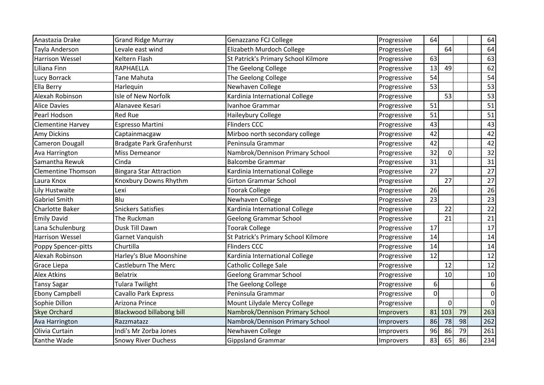| Anastazia Drake           | <b>Grand Ridge Murray</b>        | Genazzano FCJ College               | Progressive | 64             |                |    | 64          |
|---------------------------|----------------------------------|-------------------------------------|-------------|----------------|----------------|----|-------------|
| Tayla Anderson            | Levale east wind                 | Elizabeth Murdoch College           | Progressive |                | 64             |    | 64          |
| <b>Harrison Wessel</b>    | <b>Keltern Flash</b>             | St Patrick's Primary School Kilmore | Progressive | 63             |                |    | 63          |
| Liliana Finn              | <b>RAPHAELLA</b>                 | The Geelong College                 | Progressive | 13             | 49             |    | 62          |
| Lucy Borrack              | Tane Mahuta                      | The Geelong College                 | Progressive | 54             |                |    | 54          |
| Ella Berry                | Harlequin                        | Newhaven College                    | Progressive | 53             |                |    | 53          |
| Alexah Robinson           | Isle of New Norfolk              | Kardinia International College      | Progressive |                | 53             |    | 53          |
| <b>Alice Davies</b>       | Alanavee Kesari                  | Ivanhoe Grammar                     | Progressive | 51             |                |    | 51          |
| Pearl Hodson              | <b>Red Rue</b>                   | Haileybury College                  | Progressive | 51             |                |    | 51          |
| <b>Clementine Harvey</b>  | Espresso Martini                 | <b>Flinders CCC</b>                 | Progressive | 43             |                |    | 43          |
| Amy Dickins               | Captainmacgaw                    | Mirboo north secondary college      | Progressive | 42             |                |    | 42          |
| <b>Cameron Dougall</b>    | <b>Bradgate Park Grafenhurst</b> | Peninsula Grammar                   | Progressive | 42             |                |    | 42          |
| Ava Harrington            | <b>Miss Demeanor</b>             | Nambrok/Dennison Primary School     | Progressive | 32             | $\overline{0}$ |    | 32          |
| Samantha Rewuk            | Cinda                            | <b>Balcombe Grammar</b>             | Progressive | 31             |                |    | 31          |
| <b>Clementine Thomson</b> | <b>Bingara Star Attraction</b>   | Kardinia International College      | Progressive | 27             |                |    | 27          |
| Laura Knox                | Knoxbury Downs Rhythm            | <b>Girton Grammar School</b>        | Progressive |                | 27             |    | 27          |
| Lily Hustwaite            | Lexi                             | <b>Toorak College</b>               | Progressive | 26             |                |    | 26          |
| <b>Gabriel Smith</b>      | Blu                              | Newhaven College                    | Progressive | 23             |                |    | 23          |
| <b>Charlotte Baker</b>    | <b>Snickers Satisfies</b>        | Kardinia International College      | Progressive |                | 22             |    | 22          |
| <b>Emily David</b>        | The Ruckman                      | <b>Geelong Grammar School</b>       | Progressive |                | 21             |    | 21          |
| Lana Schulenburg          | Dusk Till Dawn                   | <b>Toorak College</b>               | Progressive | 17             |                |    | 17          |
| <b>Harrison Wessel</b>    | Garnet Vanquish                  | St Patrick's Primary School Kilmore | Progressive | 14             |                |    | 14          |
| Poppy Spencer-pitts       | Churtilla                        | <b>Flinders CCC</b>                 | Progressive | 14             |                |    | 14          |
| Alexah Robinson           | Harley's Blue Moonshine          | Kardinia International College      | Progressive | 12             |                |    | 12          |
| Grace Liepa               | <b>Castleburn The Merc</b>       | Catholic College Sale               | Progressive |                | 12             |    | 12          |
| <b>Alex Atkins</b>        | <b>Belatrix</b>                  | <b>Geelong Grammar School</b>       | Progressive |                | 10             |    | 10          |
| <b>Tansy Sagar</b>        | <b>Tulara Twilight</b>           | The Geelong College                 | Progressive | 6 <sup>1</sup> |                |    | 6           |
| <b>Ebony Campbell</b>     | <b>Cavallo Park Express</b>      | Peninsula Grammar                   | Progressive | $\Omega$       |                |    | $\mathbf 0$ |
| Sophie Dillon             | Arizona Prince                   | Mount Lilydale Mercy College        | Progressive |                | $\Omega$       |    | $\mathbf 0$ |
| <b>Skye Orchard</b>       | <b>Blackwood billabong bill</b>  | Nambrok/Dennison Primary School     | Improvers   | 81             | 103            | 79 | 263         |
| Ava Harrington            | Razzmatazz                       | Nambrok/Dennison Primary School     | Improvers   | 86             | 78             | 98 | 262         |
| Olivia Curtain            | Indi's Mr Zorba Jones            | Newhaven College                    | Improvers   | 96             | 86             | 79 | 261         |
| Xanthe Wade               | <b>Snowy River Duchess</b>       | <b>Gippsland Grammar</b>            | Improvers   | 83             | 65             | 86 | 234         |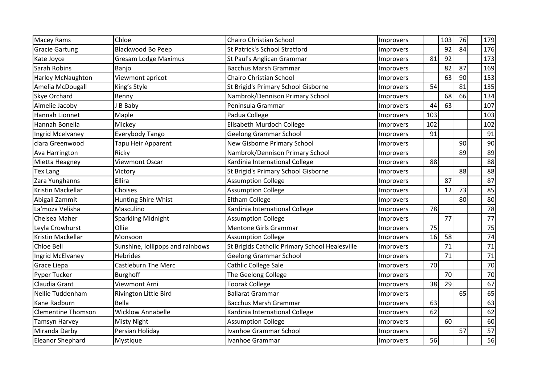| <b>Macey Rams</b>         | Chloe                            | Chairo Christian School                        | Improvers |     | 103 | 76 | 179 |
|---------------------------|----------------------------------|------------------------------------------------|-----------|-----|-----|----|-----|
| <b>Gracie Gartung</b>     | <b>Blackwood Bo Peep</b>         | <b>St Patrick's School Stratford</b>           | Improvers |     | 92  | 84 | 176 |
| Kate Joyce                | <b>Gresam Lodge Maximus</b>      | St Paul's Anglican Grammar                     | Improvers | 81  | 92  |    | 173 |
| Sarah Robins              | Banjo                            | <b>Bacchus Marsh Grammar</b>                   | Improvers |     | 82  | 87 | 169 |
| <b>Harley McNaughton</b>  | Viewmont apricot                 | Chairo Christian School                        | Improvers |     | 63  | 90 | 153 |
| Amelia McDougall          | King's Style                     | St Brigid's Primary School Gisborne            | Improvers | 54  |     | 81 | 135 |
| <b>Skye Orchard</b>       | Benny                            | Nambrok/Dennison Primary School                | Improvers |     | 68  | 66 | 134 |
| Aimelie Jacoby            | J B Baby                         | Peninsula Grammar                              | Improvers | 44  | 63  |    | 107 |
| Hannah Lionnet            | Maple                            | Padua College                                  | Improvers | 103 |     |    | 103 |
| Hannah Bonella            | Mickey                           | Elisabeth Murdoch College                      | Improvers | 102 |     |    | 102 |
| Ingrid Mcelvaney          | Everybody Tango                  | <b>Geelong Grammar School</b>                  | Improvers | 91  |     |    | 91  |
| clara Greenwood           | Tapu Heir Apparent               | New Gisborne Primary School                    | Improvers |     |     | 90 | 90  |
| Ava Harrington            | Ricky                            | Nambrok/Dennison Primary School                | Improvers |     |     | 89 | 89  |
| Mietta Heagney            | Viewmont Oscar                   | Kardinia International College                 | Improvers | 88  |     |    | 88  |
| Tex Lang                  | Victory                          | St Brigid's Primary School Gisborne            | Improvers |     |     | 88 | 88  |
| Zara Yunghanns            | <b>Ellira</b>                    | <b>Assumption College</b>                      | Improvers |     | 87  |    | 87  |
| Kristin Mackellar         | Choises                          | <b>Assumption College</b>                      | Improvers |     | 12  | 73 | 85  |
| Abigail Zammit            | Hunting Shire Whist              | <b>Eltham College</b>                          | Improvers |     |     | 80 | 80  |
| La'moza Velisha           | Masculino                        | Kardinia International College                 | Improvers | 78  |     |    | 78  |
| Chelsea Maher             | <b>Sparkling Midnight</b>        | <b>Assumption College</b>                      | Improvers |     | 77  |    | 77  |
| Leyla Crowhurst           | Ollie                            | <b>Mentone Girls Grammar</b>                   | Improvers | 75  |     |    | 75  |
| Kristin Mackellar         | Monsoon                          | <b>Assumption College</b>                      | Improvers | 16  | 58  |    | 74  |
| Chloe Bell                | Sunshine, lollipops and rainbows | St Brigids Catholic Primary School Healesville | Improvers |     | 71  |    | 71  |
| Ingrid McElvaney          | <b>Hebrides</b>                  | <b>Geelong Grammar School</b>                  | Improvers |     | 71  |    | 71  |
| Grace Liepa               | <b>Castleburn The Merc</b>       | Cathlic College Sale                           | Improvers | 70  |     |    | 70  |
| <b>Pyper Tucker</b>       | <b>Burghoff</b>                  | The Geelong College                            | Improvers |     | 70  |    | 70  |
| Claudia Grant             | Viewmont Arni                    | <b>Toorak College</b>                          | Improvers | 38  | 29  |    | 67  |
| Nellie Tuddenham          | Rivington Little Bird            | <b>Ballarat Grammar</b>                        | Improvers |     |     | 65 | 65  |
| Kane Radburn              | Bella                            | <b>Bacchus Marsh Grammar</b>                   | Improvers | 63  |     |    | 63  |
| <b>Clementine Thomson</b> | <b>Wicklow Annabelle</b>         | Kardinia International College                 | Improvers | 62  |     |    | 62  |
| Tamsyn Harvey             | <b>Misty Night</b>               | <b>Assumption College</b>                      | Improvers |     | 60  |    | 60  |
| Miranda Darby             | Persian Holiday                  | Ivanhoe Grammar School                         | Improvers |     |     | 57 | 57  |
| <b>Eleanor Shephard</b>   | Mystique                         | Ivanhoe Grammar                                | Improvers | 56  |     |    | 56  |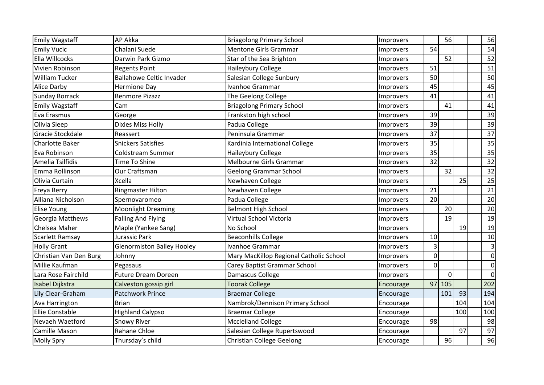| <b>Emily Wagstaff</b>  | <b>AP Akka</b>                    | <b>Briagolong Primary School</b>        | Improvers |          | 56             |     | 56             |
|------------------------|-----------------------------------|-----------------------------------------|-----------|----------|----------------|-----|----------------|
| <b>Emily Vucic</b>     | Chalani Suede                     | <b>Mentone Girls Grammar</b>            | Improvers | 54       |                |     | 54             |
| Ella Willcocks         | Darwin Park Gizmo                 | Star of the Sea Brighton                | Improvers |          | 52             |     | 52             |
| Vivien Robinson        | <b>Regents Point</b>              | Haileybury College                      | Improvers | 51       |                |     | 51             |
| <b>William Tucker</b>  | <b>Ballahowe Celtic Invader</b>   | Salesian College Sunbury                | Improvers | 50       |                |     | 50             |
| <b>Alice Darby</b>     | <b>Hermione Day</b>               | Ivanhoe Grammar                         | Improvers | 45       |                |     | 45             |
| <b>Sunday Borrack</b>  | <b>Benmore Pizazz</b>             | The Geelong College                     | Improvers | 41       |                |     | 41             |
| <b>Emily Wagstaff</b>  | Cam                               | <b>Briagolong Primary School</b>        | Improvers |          | 41             |     | 41             |
| Eva Erasmus            | George                            | Frankston high school                   | Improvers | 39       |                |     | 39             |
| Olivia Sleep           | <b>Dixies Miss Holly</b>          | Padua College                           | Improvers | 39       |                |     | 39             |
| Gracie Stockdale       | Reassert                          | Peninsula Grammar                       | Improvers | 37       |                |     | 37             |
| Charlotte Baker        | <b>Snickers Satisfies</b>         | Kardinia International College          | Improvers | 35       |                |     | 35             |
| Eva Robinson           | <b>Coldstream Summer</b>          | Haileybury College                      | Improvers | 35       |                |     | 35             |
| Amelia Tsilfidis       | <b>Time To Shine</b>              | Melbourne Girls Grammar                 | Improvers | 32       |                |     | 32             |
| Emma Rollinson         | Our Craftsman                     | <b>Geelong Grammar School</b>           | Improvers |          | 32             |     | 32             |
| Olivia Curtain         | <b>Xcella</b>                     | Newhaven College                        | Improvers |          |                | 25  | 25             |
| Freya Berry            | <b>Ringmaster Hilton</b>          | Newhaven College                        | Improvers | 21       |                |     | 21             |
| Alliana Nicholson      | Spernovaromeo                     | Padua College                           | Improvers | 20       |                |     | 20             |
| <b>Elise Young</b>     | <b>Moonlight Dreaming</b>         | <b>Belmont High School</b>              | Improvers |          | 20             |     | 20             |
| Georgia Matthews       | <b>Falling And Flying</b>         | Virtual School Victoria                 | Improvers |          | 19             |     | 19             |
| Chelsea Maher          | Maple (Yankee Sang)               | No School                               | Improvers |          |                | 19  | 19             |
| <b>Scarlett Ramsay</b> | Jurassic Park                     | <b>Beaconhills College</b>              | Improvers | 10       |                |     | 10             |
| <b>Holly Grant</b>     | <b>Glenormiston Balley Hooley</b> | Ivanhoe Grammar                         | Improvers |          |                |     | 3              |
| Christian Van Den Burg | Johnny                            | Mary MacKillop Regional Catholic School | Improvers | $\Omega$ |                |     | $\overline{0}$ |
| Millie Kaufman         | Pegasaus                          | Carey Baptist Grammar School            | Improvers | $\Omega$ |                |     | 0              |
| Lara Rose Fairchild    | <b>Future Dream Doreen</b>        | Damascus College                        | Improvers |          | $\overline{0}$ |     | $\overline{0}$ |
| Isabel Dijkstra        | Calveston gossip girl             | <b>Toorak College</b>                   | Encourage |          | $97$ 105       |     | 202            |
| Lily Clear-Graham      | Patchwork Prince                  | <b>Braemar College</b>                  | Encourage |          | 101            | 93  | 194            |
| Ava Harrington         | <b>Brian</b>                      | Nambrok/Dennison Primary School         | Encourage |          |                | 104 | 104            |
| <b>Ellie Constable</b> | <b>Highland Calypso</b>           | <b>Braemar College</b>                  | Encourage |          |                | 100 | 100            |
| Nevaeh Waetford        | <b>Snowy River</b>                | <b>Mcclelland College</b>               | Encourage | 98       |                |     | 98             |
| Camille Mason          | Rahane Chloe                      | Salesian College Rupertswood            | Encourage |          |                | 97  | 97             |
| <b>Molly Spry</b>      | Thursday's child                  | Christian College Geelong               | Encourage |          | 96             |     | 96             |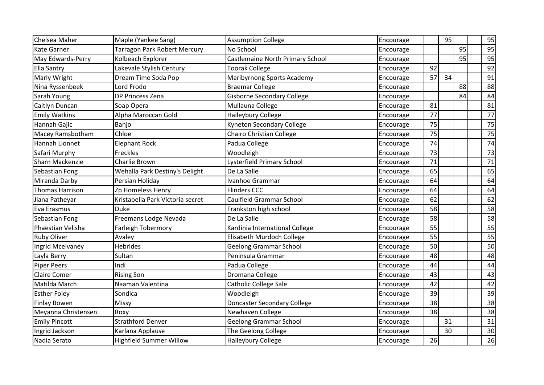| Chelsea Maher          | Maple (Yankee Sang)              | <b>Assumption College</b>          | Encourage |    | 95              |    | 95 |
|------------------------|----------------------------------|------------------------------------|-----------|----|-----------------|----|----|
| <b>Kate Garner</b>     | Tarragon Park Robert Mercury     | No School                          | Encourage |    |                 | 95 | 95 |
| May Edwards-Perry      | Kolbeach Explorer                | Castlemaine North Primary School   | Encourage |    |                 | 95 | 95 |
| <b>Ella Santry</b>     | Lakevale Stylish Century         | <b>Toorak College</b>              | Encourage | 92 |                 |    | 92 |
| Marly Wright           | Dream Time Soda Pop              | Maribyrnong Sports Academy         | Encourage | 57 | 34              |    | 91 |
| Nina Ryssenbeek        | Lord Frodo                       | <b>Braemar College</b>             | Encourage |    |                 | 88 | 88 |
| Sarah Young            | <b>DP Princess Zena</b>          | <b>Gisborne Secondary College</b>  | Encourage |    |                 | 84 | 84 |
| Caitlyn Duncan         | Soap Opera                       | Mullauna College                   | Encourage | 81 |                 |    | 81 |
| <b>Emily Watkins</b>   | Alpha Maroccan Gold              | Haileybury College                 | Encourage | 77 |                 |    | 77 |
| Hannah Gajic           | Banjo                            | <b>Kyneton Secondary College</b>   | Encourage | 75 |                 |    | 75 |
| Macey Ramsbotham       | Chloe                            | Chairo Christian College           | Encourage | 75 |                 |    | 75 |
| Hannah Lionnet         | <b>Elephant Rock</b>             | Padua College                      | Encourage | 74 |                 |    | 74 |
| Safari Murphy          | Freckles                         | Woodleigh                          | Encourage | 73 |                 |    | 73 |
| Sharn Mackenzie        | Charlie Brown                    | Lysterfield Primary School         | Encourage | 71 |                 |    | 71 |
| Sebastian Fong         | Wehalla Park Destiny's Delight   | De La Salle                        | Encourage | 65 |                 |    | 65 |
| Miranda Darby          | Persian Holiday                  | Ivanhoe Grammar                    | Encourage | 64 |                 |    | 64 |
| <b>Thomas Harrison</b> | Zp Homeless Henry                | <b>Flinders CCC</b>                | Encourage | 64 |                 |    | 64 |
| Jiana Patheyar         | Kristabella Park Victoria secret | Caulfield Grammar School           | Encourage | 62 |                 |    | 62 |
| Eva Erasmus            | <b>Duke</b>                      | Frankston high school              | Encourage | 58 |                 |    | 58 |
| Sebastian Fong         | Freemans Lodge Nevada            | De La Salle                        | Encourage | 58 |                 |    | 58 |
| Phaestian Velisha      | Farleigh Tobermory               | Kardinia International College     | Encourage | 55 |                 |    | 55 |
| <b>Ruby Oliver</b>     | Avaley                           | Elisabeth Murdoch College          | Encourage | 55 |                 |    | 55 |
| Ingrid Mcelvaney       | <b>Hebrides</b>                  | <b>Geelong Grammar School</b>      | Encourage | 50 |                 |    | 50 |
| Layla Berry            | Sultan                           | Peninsula Grammar                  | Encourage | 48 |                 |    | 48 |
| <b>Piper Peers</b>     | Indi                             | Padua College                      | Encourage | 44 |                 |    | 44 |
| <b>Claire Comer</b>    | <b>Rising Son</b>                | Dromana College                    | Encourage | 43 |                 |    | 43 |
| Matilda March          | Naaman Valentina                 | Catholic College Sale              | Encourage | 42 |                 |    | 42 |
| <b>Esther Foley</b>    | Sondica                          | Woodleigh                          | Encourage | 39 |                 |    | 39 |
| <b>Finlay Bowen</b>    | Missy                            | <b>Doncaster Secondary College</b> | Encourage | 38 |                 |    | 38 |
| Meyanna Christensen    | Roxy                             | Newhaven College                   | Encourage | 38 |                 |    | 38 |
| <b>Emily Pincott</b>   | <b>Strathford Denver</b>         | <b>Geelong Grammar School</b>      | Encourage |    | 31              |    | 31 |
| Ingrid Jackson         | Karlana Applause                 | The Geelong College                | Encourage |    | 30 <sup>1</sup> |    | 30 |
| Nadia Serato           | Highfield Summer Willow          | Haileybury College                 | Encourage | 26 |                 |    | 26 |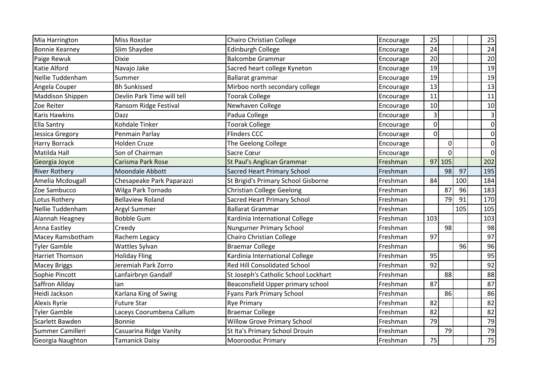| Mia Harrington          | <b>Miss Roxstar</b>        | Chairo Christian College             | Encourage | 25             |                |     | 25              |
|-------------------------|----------------------------|--------------------------------------|-----------|----------------|----------------|-----|-----------------|
| <b>Bonnie Kearney</b>   | Slim Shaydee               | <b>Edinburgh College</b>             | Encourage | 24             |                |     | 24              |
| Paige Rewuk             | <b>Dixie</b>               | <b>Balcombe Grammar</b>              | Encourage | 20             |                |     | 20              |
| <b>Katie Alford</b>     | Navajo Jake                | Sacred heart college Kyneton         | Encourage | 19             |                |     | 19              |
| Nellie Tuddenham        | Summer                     | Ballarat grammar                     | Encourage | 19             |                |     | 19              |
| Angela Couper           | <b>Bh Sunkissed</b>        | Mirboo north secondary college       | Encourage | 13             |                |     | 13              |
| <b>Maddison Shippen</b> | Devlin Park Time will tell | <b>Toorak College</b>                | Encourage | 11             |                |     | 11              |
| Zoe Reiter              | Ransom Ridge Festival      | Newhaven College                     | Encourage | 10             |                |     | 10              |
| <b>Karis Hawkins</b>    | Dazz                       | Padua College                        | Encourage | $\overline{3}$ |                |     | $\vert 3 \vert$ |
| <b>Ella Santry</b>      | Kohdale Tinker             | <b>Toorak College</b>                | Encourage | $\Omega$       |                |     | $\overline{0}$  |
| Jessica Gregory         | Penmain Parlay             | <b>Flinders CCC</b>                  | Encourage | $\Omega$       |                |     | 0               |
| <b>Harry Borrack</b>    | <b>Holden Cruze</b>        | The Geelong College                  | Encourage |                | $\overline{0}$ |     | $\overline{0}$  |
| Matilda Hall            | Son of Chairman            | Sacre Cœur                           | Encourage |                | $\Omega$       |     | $\overline{0}$  |
| Georgia Joyce           | Carisma Park Rose          | <b>St Paul's Anglican Grammar</b>    | Freshman  | 97             | $\vert$ 105    |     | 202             |
| <b>River Rothery</b>    | Moondale Abbott            | <b>Sacred Heart Primary School</b>   | Freshman  |                | 98             | 97  | 195             |
| Amelia Mcdougall        | Chesapeake Park Paparazzi  | St Brigid's Primary School Gisborne  | Freshman  | 84             |                | 100 | 184             |
| Zoe Sambucco            | Wilga Park Tornado         | <b>Christian College Geelong</b>     | Freshman  |                | 87             | 96  | 183             |
| Lotus Rothery           | <b>Bellaview Roland</b>    | <b>Sacred Heart Primary School</b>   | Freshman  |                | 79             | 91  | 170             |
| Nellie Tuddenham        | <b>Argyl Summer</b>        | <b>Ballarat Grammar</b>              | Freshman  |                |                | 105 | 105             |
| Alannah Heagney         | <b>Bobble Gum</b>          | Kardinia International College       | Freshman  | 103            |                |     | 103             |
| Anna Eastley            | Creedy                     | <b>Nungurner Primary School</b>      | Freshman  |                | 98             |     | 98              |
| Macey Ramsbotham        | Rachem Legacy              | Chairo Christian College             | Freshman  | 97             |                |     | 97              |
| <b>Tyler Gamble</b>     | Wattles Sylvan             | <b>Braemar College</b>               | Freshman  |                |                | 96  | 96              |
| <b>Harriet Thomson</b>  | <b>Holiday Fling</b>       | Kardinia International College       | Freshman  | 95             |                |     | 95              |
| <b>Macey Briggs</b>     | Jeremiah Park Zorro        | <b>Red Hill Consolidated School</b>  | Freshman  | 92             |                |     | 92              |
| Sophie Pincott          | Lanfairbryn Gandalf        | St Joseph's Catholic School Lockhart | Freshman  |                | 88             |     | 88              |
| Saffron Allday          | lan                        | Beaconsfield Upper primary school    | Freshman  | 87             |                |     | 87              |
| Heidi Jackson           | Karlana King of Swing      | Fyans Park Primary School            | Freshman  |                | 86             |     | 86              |
| <b>Alexis Ryrie</b>     | Future Star                | <b>Rye Primary</b>                   | Freshman  | 82             |                |     | 82              |
| <b>Tyler Gamble</b>     | Laceys Coorumbena Callum   | <b>Braemar College</b>               | Freshman  | 82             |                |     | 82              |
| Scarlett Bawden         | Bonnie                     | <b>Willow Grove Primary School</b>   | Freshman  | 79             |                |     | 79              |
| Summer Camilleri        | Casuarina Ridge Vanity     | St Ita's Primary School Drouin       | Freshman  |                | 79             |     | 79              |
| Georgia Naughton        | <b>Tamanick Daisy</b>      | Moorooduc Primary                    | Freshman  | 75             |                |     | 75              |